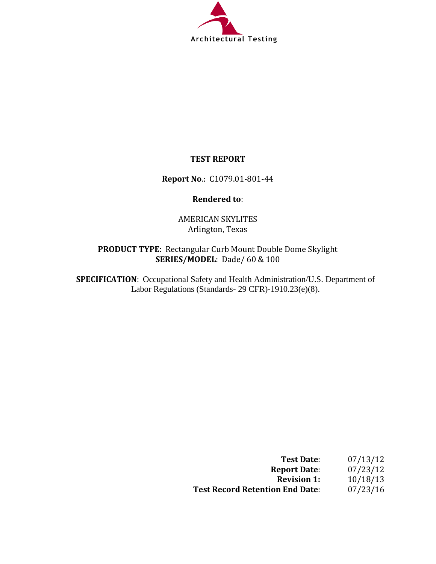

# **TEST REPORT**

**Report No**.: C1079.01-801-44

## **Rendered to**:

AMERICAN SKYLITES Arlington, Texas

# **PRODUCT TYPE**: Rectangular Curb Mount Double Dome Skylight **SERIES/MODEL**: Dade/ 60 & 100

**SPECIFICATION**: Occupational Safety and Health Administration/U.S. Department of Labor Regulations (Standards- 29 CFR)-1910.23(e)(8).

| <b>Test Date:</b>                      | 07/13/12 |
|----------------------------------------|----------|
| <b>Report Date:</b>                    | 07/23/12 |
| <b>Revision 1:</b>                     | 10/18/13 |
| <b>Test Record Retention End Date:</b> | 07/23/16 |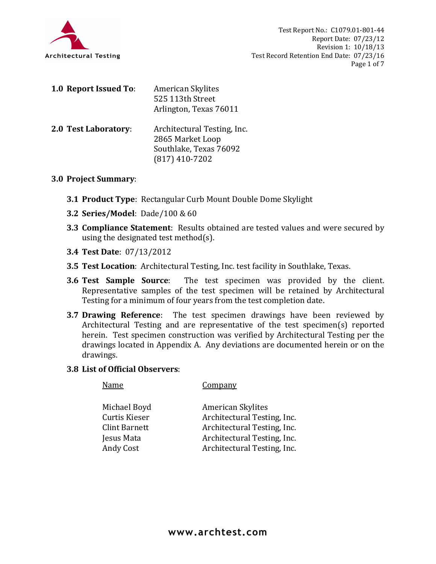

| 1.0 Report Issued To: | <b>American Skylites</b><br>525 113th Street<br>Arlington, Texas 76011                        |
|-----------------------|-----------------------------------------------------------------------------------------------|
| 2.0 Test Laboratory:  | Architectural Testing, Inc.<br>2865 Market Loop<br>Southlake, Texas 76092<br>$(817)$ 410-7202 |

## **3.0 Project Summary**:

- **3.1 Product Type**: Rectangular Curb Mount Double Dome Skylight
- **3.2 Series/Model**: Dade/100 & 60
- **3.3 Compliance Statement**: Results obtained are tested values and were secured by using the designated test method(s).
- **3.4 Test Date**: 07/13/2012
- **3.5 Test Location**: Architectural Testing, Inc. test facility in Southlake, Texas.
- **3.6 Test Sample Source**: The test specimen was provided by the client. Representative samples of the test specimen will be retained by Architectural Testing for a minimum of four years from the test completion date.
- **3.7 Drawing Reference**: The test specimen drawings have been reviewed by Architectural Testing and are representative of the test specimen(s) reported herein. Test specimen construction was verified by Architectural Testing per the drawings located in Appendix A. Any deviations are documented herein or on the drawings.

### **3.8 List of Official Observers**:

Name Company

| <b>American Skylites</b>    |
|-----------------------------|
| Architectural Testing, Inc. |
| Architectural Testing, Inc. |
| Architectural Testing, Inc. |
| Architectural Testing, Inc. |
|                             |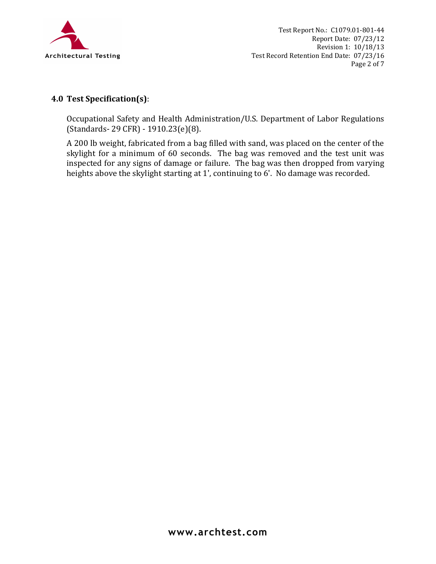

# **4.0 Test Specification(s)**:

Occupational Safety and Health Administration/U.S. Department of Labor Regulations (Standards- 29 CFR) - 1910.23(e)(8).

A 200 lb weight, fabricated from a bag filled with sand, was placed on the center of the skylight for a minimum of 60 seconds. The bag was removed and the test unit was inspected for any signs of damage or failure. The bag was then dropped from varying heights above the skylight starting at 1', continuing to 6'. No damage was recorded.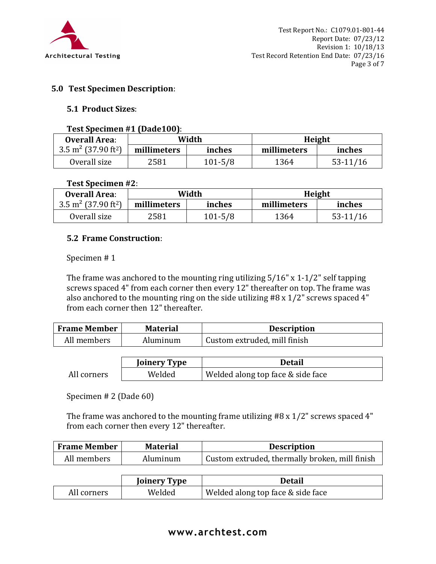

## **5.0 Test Specimen Description**:

### **5.1 Product Sizes**:

#### **Test Specimen #1 (Dade100)**:

| <b>Overall Area:</b>                        | Width       |             |             | Height     |
|---------------------------------------------|-------------|-------------|-------------|------------|
| 3.5 m <sup>2</sup> (37.90 ft <sup>2</sup> ) | millimeters | inches      | millimeters | inches     |
| Overall size                                | 2581        | $101 - 5/8$ | 1364        | $53-11/16$ |

### **Test Specimen #2**:

| <b>Overall Area:</b>                       | Width       |             |             | Height   |
|--------------------------------------------|-------------|-------------|-------------|----------|
| $3.5 \text{ m}^2$ (37.90 ft <sup>2</sup> ) | millimeters | inches      | millimeters | inches   |
| Overall size                               | 2581        | $101 - 5/8$ | 1364        | 53-11/16 |

## **5.2 Frame Construction**:

### Specimen # 1

The frame was anchored to the mounting ring utilizing 5/16" x 1-1/2" self tapping screws spaced 4" from each corner then every 12" thereafter on top. The frame was also anchored to the mounting ring on the side utilizing #8 x 1/2" screws spaced 4" from each corner then 12" thereafter.

| <b>Frame Member</b> | <b>Material</b> | <b>Description</b>           |
|---------------------|-----------------|------------------------------|
| All members         | Aluminum        | Custom extruded, mill finish |

|             | <b>Joinery Type</b> | Detail                            |
|-------------|---------------------|-----------------------------------|
| All corners | Welded              | Welded along top face & side face |

Specimen # 2 (Dade 60)

The frame was anchored to the mounting frame utilizing #8 x 1/2" screws spaced 4" from each corner then every 12" thereafter.

| <b>Frame Member</b> | <b>Material</b> | <b>Description</b>                             |
|---------------------|-----------------|------------------------------------------------|
| All members         | Aluminum        | Custom extruded, thermally broken, mill finish |

|             | <b>Joinery Type</b> | Detail                            |
|-------------|---------------------|-----------------------------------|
| All corners | Welded              | Welded along top face & side face |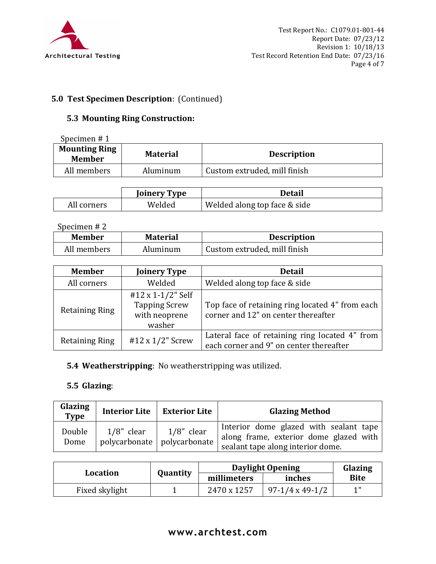

# **5.0 Test Specimen Description**: (Continued)

# **5.3 Mounting Ring Construction:**

| Specimen $# 1$                        |                 |                              |
|---------------------------------------|-----------------|------------------------------|
| <b>Mounting Ring</b><br><b>Member</b> | <b>Material</b> | <b>Description</b>           |
| All members                           | Aluminum        | Custom extruded, mill finish |

|             | <b>Joinery Type</b> | Detail                       |
|-------------|---------------------|------------------------------|
| All corners | Welded              | Welded along top face & side |

Specimen # 2

| <b>Member</b> | <b>Material</b> | <b>Description</b>           |
|---------------|-----------------|------------------------------|
| All members   | Aluminum        | Custom extruded, mill finish |

| <b>Member</b>         | <b>Joinery Type</b>                                                  | <b>Detail</b>                                                                             |
|-----------------------|----------------------------------------------------------------------|-------------------------------------------------------------------------------------------|
| All corners           | Welded                                                               | Welded along top face & side                                                              |
| <b>Retaining Ring</b> | #12 x 1-1/2" Self<br><b>Tapping Screw</b><br>with neoprene<br>washer | Top face of retaining ring located 4" from each<br>corner and 12" on center thereafter    |
| <b>Retaining Ring</b> | #12 x 1/2" Screw                                                     | Lateral face of retaining ring located 4" from<br>each corner and 9" on center thereafter |

**5.4 Weatherstripping**: No weatherstripping was utilized.

# **5.5 Glazing**:

| Glazing<br><b>Type</b> |               | Interior Lite   Exterior Lite                | <b>Glazing Method</b>                                                                                                 |
|------------------------|---------------|----------------------------------------------|-----------------------------------------------------------------------------------------------------------------------|
| Double<br>Dome         | $1/8$ " clear | $1/8$ " clear<br>polycarbonate polycarbonate | Interior dome glazed with sealant tape<br>along frame, exterior dome glazed with<br>sealant tape along interior dome. |

|                |          | <b>Daylight Opening</b> |                        | Glazing     |
|----------------|----------|-------------------------|------------------------|-------------|
| Location       | Quantity | millimeters             | inches                 | <b>Bite</b> |
| Fixed skylight |          | 2470 x 1257             | $97-1/4 \times 49-1/2$ | 1 II        |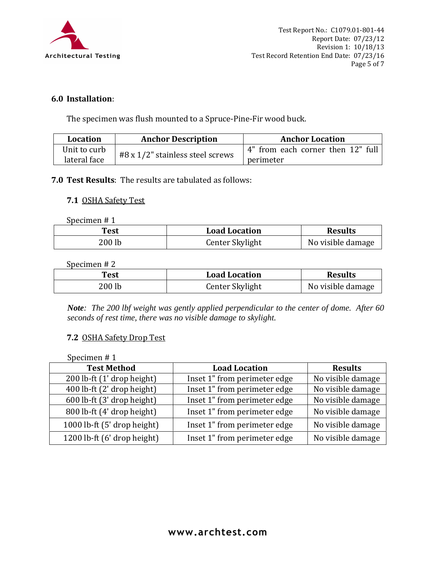

# **6.0 Installation**:

The specimen was flush mounted to a Spruce-Pine-Fir wood buck.

| Location     | <b>Anchor Description</b>        | <b>Anchor Location</b>            |
|--------------|----------------------------------|-----------------------------------|
| Unit to curb | #8 x 1/2" stainless steel screws | 4" from each corner then 12" full |
| lateral face |                                  | perimeter                         |

# **7.0 Test Results**: The results are tabulated as follows:

### **7.1** OSHA Safety Test

Specimen # 1

| Test     | <b>Load Location</b> | <b>Results</b>    |
|----------|----------------------|-------------------|
| $200$ lb | Center Skylight      | No visible damage |

#### Specimen # 2

| Test   | <b>Load Location</b> | <b>Results</b>    |
|--------|----------------------|-------------------|
| 200 lb | Center Skylight      | No visible damage |

*Note: The 200 lbf weight was gently applied perpendicular to the center of dome. After 60 seconds of rest time, there was no visible damage to skylight.* 

## **7.2** OSHA Safety Drop Test

Specimen # 1

| <b>Test Method</b>          | <b>Load Location</b>         | <b>Results</b>    |  |
|-----------------------------|------------------------------|-------------------|--|
| 200 lb-ft (1' drop height)  | Inset 1" from perimeter edge | No visible damage |  |
| 400 lb-ft (2' drop height)  | Inset 1" from perimeter edge | No visible damage |  |
| 600 lb-ft (3' drop height)  | Inset 1" from perimeter edge | No visible damage |  |
| 800 lb-ft (4' drop height)  | Inset 1" from perimeter edge | No visible damage |  |
| 1000 lb-ft (5' drop height) | Inset 1" from perimeter edge | No visible damage |  |
| 1200 lb-ft (6' drop height) | Inset 1" from perimeter edge | No visible damage |  |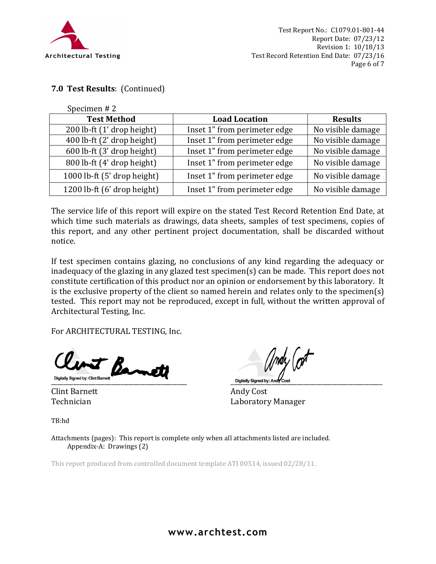

# **7.0 Test Results**: (Continued)

Specimen # 2

| <b>Test Method</b>          | <b>Load Location</b>         | <b>Results</b>    |
|-----------------------------|------------------------------|-------------------|
| 200 lb-ft (1' drop height)  | Inset 1" from perimeter edge | No visible damage |
| 400 lb-ft (2' drop height)  | Inset 1" from perimeter edge | No visible damage |
| 600 lb-ft (3' drop height)  | Inset 1" from perimeter edge | No visible damage |
| 800 lb-ft (4' drop height)  | Inset 1" from perimeter edge | No visible damage |
| 1000 lb-ft (5' drop height) | Inset 1" from perimeter edge | No visible damage |
| 1200 lb-ft (6' drop height) | Inset 1" from perimeter edge | No visible damage |

The service life of this report will expire on the stated Test Record Retention End Date, at which time such materials as drawings, data sheets, samples of test specimens, copies of this report, and any other pertinent project documentation, shall be discarded without notice.

If test specimen contains glazing, no conclusions of any kind regarding the adequacy or inadequacy of the glazing in any glazed test specimen(s) can be made. This report does not constitute certification of this product nor an opinion or endorsement by this laboratory. It is the exclusive property of the client so named herein and relates only to the specimen(s) tested. This report may not be reproduced, except in full, without the written approval of Architectural Testing, Inc.

For ARCHITECTURAL TESTING, Inc.

unt Barn

Clint Barnett Andy Cost

\_\_\_\_\_\_\_\_\_\_\_\_\_\_\_\_\_\_\_\_\_\_\_\_\_\_\_\_\_\_\_\_\_\_\_\_\_\_\_\_\_\_\_ \_\_\_\_\_\_\_\_\_\_\_\_\_\_\_\_\_\_\_\_\_\_\_\_\_\_\_\_\_\_\_\_\_\_\_\_\_\_\_\_\_\_\_\_\_\_\_\_

Technician Laboratory Manager

TB:hd

Attachments (pages): This report is complete only when all attachments listed are included. Appendix-A: Drawings (2)

This report produced from controlled document template ATI 00514, issued 02/28/11.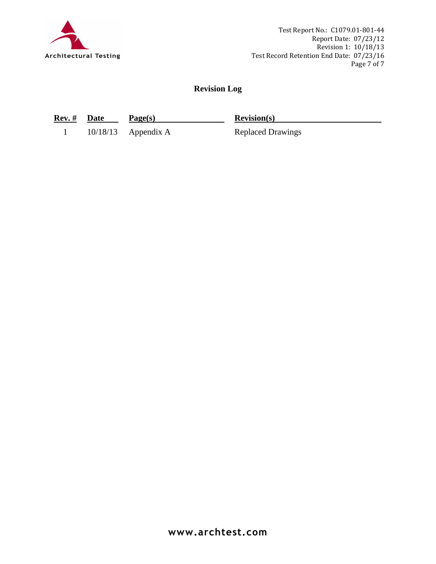

Test Report No.: C1079.01-801-44 Report Date: 07/23/12 Revision 1: 10/18/13 Test Record Retention End Date: 07/23/16 Page 7 of 7

# **Revision Log**

**Rev. # Date Page(s) Revision(s)**

1 10/18/13 Appendix A Replaced Drawings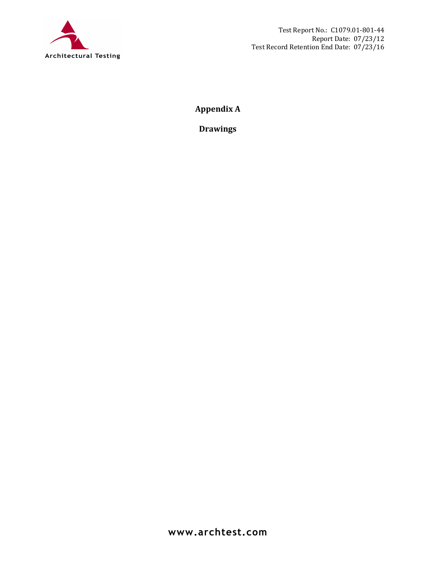

**Appendix A** 

**Drawings**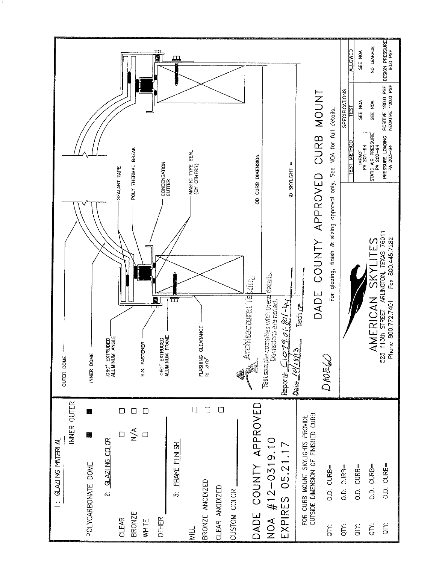